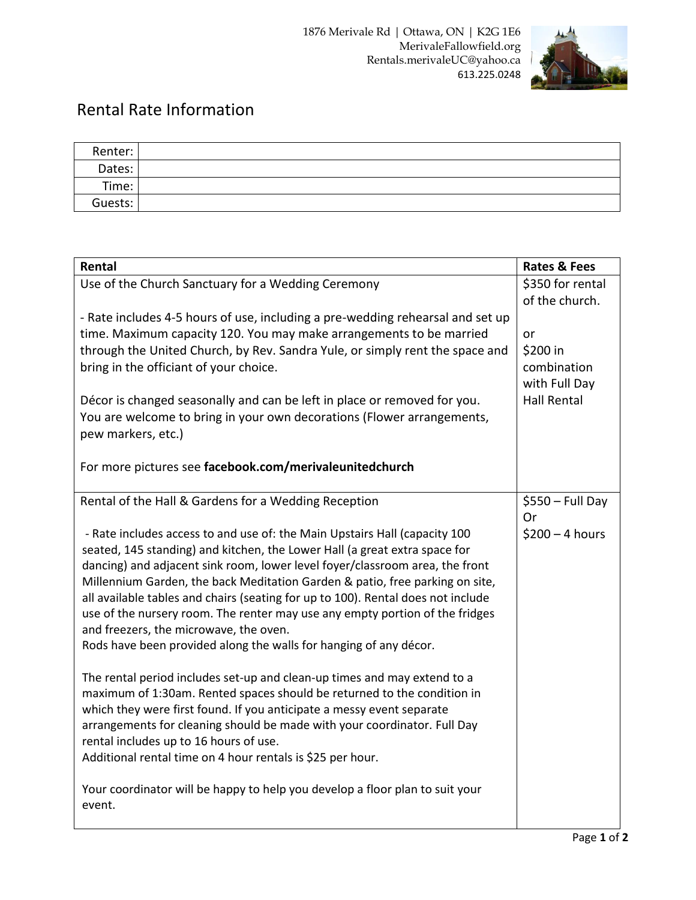

## Rental Rate Information

| Renter: |  |
|---------|--|
| Dates:  |  |
| Time:   |  |
| Guests: |  |

| Rental                                                                                                                                                       | <b>Rates &amp; Fees</b>            |
|--------------------------------------------------------------------------------------------------------------------------------------------------------------|------------------------------------|
| Use of the Church Sanctuary for a Wedding Ceremony                                                                                                           | \$350 for rental<br>of the church. |
| - Rate includes 4-5 hours of use, including a pre-wedding rehearsal and set up                                                                               |                                    |
| time. Maximum capacity 120. You may make arrangements to be married                                                                                          | or                                 |
| through the United Church, by Rev. Sandra Yule, or simply rent the space and                                                                                 | \$200 in                           |
| bring in the officiant of your choice.                                                                                                                       | combination                        |
|                                                                                                                                                              | with Full Day                      |
| Décor is changed seasonally and can be left in place or removed for you.                                                                                     | <b>Hall Rental</b>                 |
| You are welcome to bring in your own decorations (Flower arrangements,                                                                                       |                                    |
| pew markers, etc.)                                                                                                                                           |                                    |
|                                                                                                                                                              |                                    |
| For more pictures see facebook.com/merivaleunitedchurch                                                                                                      |                                    |
| Rental of the Hall & Gardens for a Wedding Reception                                                                                                         | $$550 - Full Day$                  |
|                                                                                                                                                              | 0r                                 |
| - Rate includes access to and use of: the Main Upstairs Hall (capacity 100                                                                                   | $$200 - 4 hours$                   |
| seated, 145 standing) and kitchen, the Lower Hall (a great extra space for                                                                                   |                                    |
| dancing) and adjacent sink room, lower level foyer/classroom area, the front<br>Millennium Garden, the back Meditation Garden & patio, free parking on site, |                                    |
| all available tables and chairs (seating for up to 100). Rental does not include                                                                             |                                    |
| use of the nursery room. The renter may use any empty portion of the fridges                                                                                 |                                    |
| and freezers, the microwave, the oven.                                                                                                                       |                                    |
| Rods have been provided along the walls for hanging of any décor.                                                                                            |                                    |
|                                                                                                                                                              |                                    |
| The rental period includes set-up and clean-up times and may extend to a                                                                                     |                                    |
| maximum of 1:30am. Rented spaces should be returned to the condition in                                                                                      |                                    |
| which they were first found. If you anticipate a messy event separate                                                                                        |                                    |
| arrangements for cleaning should be made with your coordinator. Full Day                                                                                     |                                    |
| rental includes up to 16 hours of use.                                                                                                                       |                                    |
| Additional rental time on 4 hour rentals is \$25 per hour.                                                                                                   |                                    |
| Your coordinator will be happy to help you develop a floor plan to suit your<br>event.                                                                       |                                    |